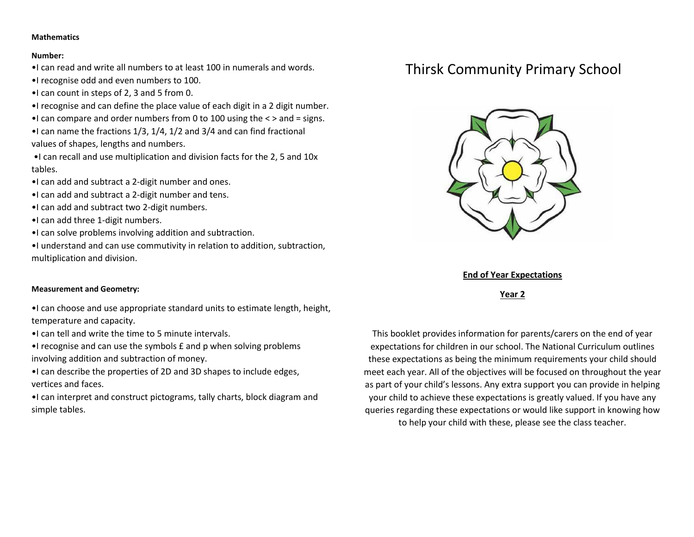#### **Mathematics**

#### **Number:**

- •I can read and write all numbers to at least 100 in numerals and words.
- •I recognise odd and even numbers to 100.
- •I can count in steps of 2, 3 and 5 from 0.
- •I recognise and can define the place value of each digit in a 2 digit number.
- •I can compare and order numbers from 0 to 100 using the < > and = signs.
- •I can name the fractions 1/3, 1/4, 1/2 and 3/4 and can find fractional values of shapes, lengths and numbers.
- •I can recall and use multiplication and division facts for the 2, 5 and 10x tables.
- •I can add and subtract a 2-digit number and ones.
- •I can add and subtract a 2-digit number and tens.
- •I can add and subtract two 2-digit numbers.
- •I can add three 1-digit numbers.
- •I can solve problems involving addition and subtraction.
- •I understand and can use commutivity in relation to addition, subtraction, multiplication and division.

### **Measurement and Geometry:**

•I can choose and use appropriate standard units to estimate length, height, temperature and capacity.

- •I can tell and write the time to 5 minute intervals.
- •I recognise and can use the symbols £ and p when solving problems involving addition and subtraction of money.
- •I can describe the properties of 2D and 3D shapes to include edges, vertices and faces.
- •I can interpret and construct pictograms, tally charts, block diagram and simple tables.

# Thirsk Community Primary School



**End of Year Expectations**

**Year 2**

This booklet provides information for parents/carers on the end of year expectations for children in our school. The National Curriculum outlines these expectations as being the minimum requirements your child should meet each year. All of the objectives will be focused on throughout the year as part of your child's lessons. Any extra support you can provide in helping your child to achieve these expectations is greatly valued. If you have any queries regarding these expectations or would like support in knowing how to help your child with these, please see the class teacher.